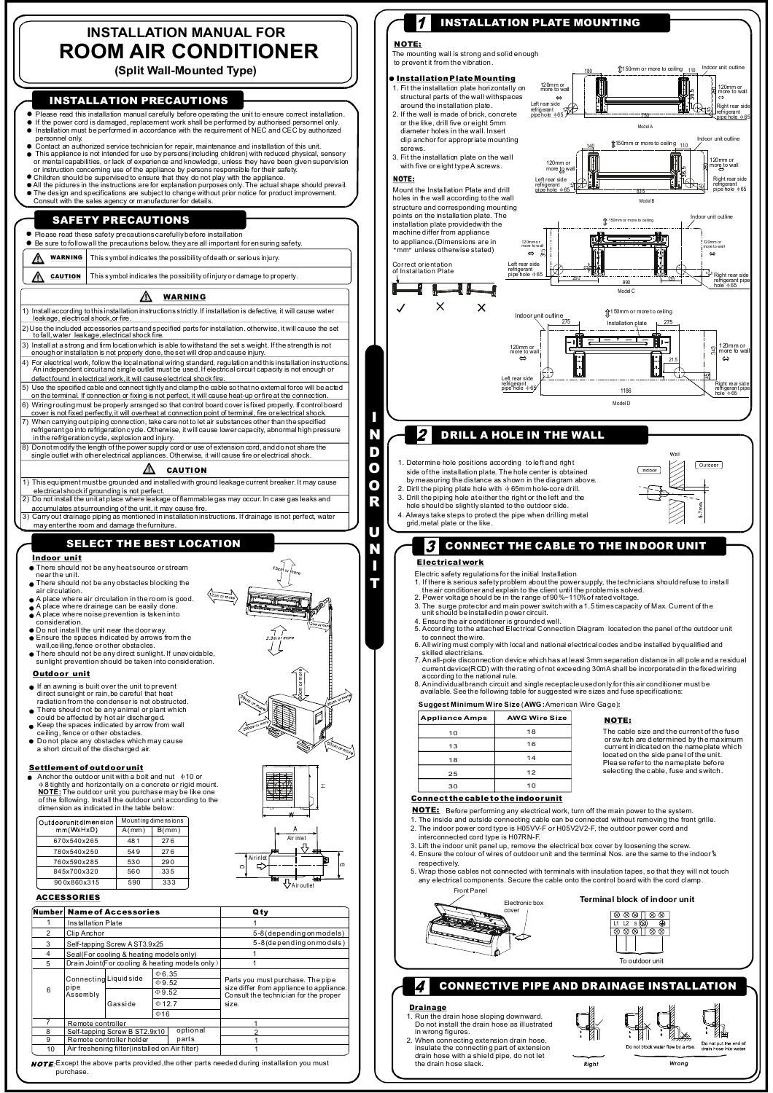# **INSTALLATION MANUAL FOR ROOM AIR CONDITIONER**

**(Split Wall-Mounted Type)**

## **INSTALLATION PRECAUTIONS**

- Please read this installation manual carefully before operating the unit to ensure correct installation. If the power cord is damaged, replacement work shall be performed by authorised personnel only. Installation must be performed in accordance with the requirement of NEC and CEC by authorized personnel only.
- Contact an authorized service technician for repair, maintenance and installation of this unit.
- 
- This appliance is not intended for use by persons(including chidren) with reduced physical, sensory<br>or mental capabilities, or lack of experience and knowledge, urless they have been given supervision<br>or instruction concer

## **SAFETY PRECAUTIONS**

### Please read these safety precautions carefully before installation

- $\bullet$  Be sure to follow all the precautions below, they are all important for ensuring safety.
- **WARN ING** ⚠ This s ymbol indicates the possibility of death or serious injury.
- **CAUTION** This s ymbol indicates the possibility of injury or damage to property ⚠

#### ⚠ **WARNING**

- 1) Install according to this installation instructions strictly. If installation is defective, it will cause water leakage, electrical shock,or fire.
- 2) Use the included accessories parts and specified parts for installation. otherwise, it will cause the set to fall, water leakage, electrical shock fire.
- 3) Install at a strong and firm locationwhich is able to withstand the set s weight. If the strength is not enough or installation is not properly done, the set will drop and cause injury.
- 
- 4) For electrical work, follow the local national wiring standard, regulation and this installation instructions. An independent circuit and single outlet must be used.If electrical circuit capacity is not enough or defect found in electrical work, it will cause electrical shock fire.
- 
- 5) Use the specified cable and connect tightly and clamp the cable so that no external force will be acted on the terminal. If connection or fixing is not perfect, it will cause heat-up or fi re at the connection. 6) Wiring routing must be properly arranged so that control board cover isfixed properly. If control board
- cover is not fixed perfectly,it will overheat at connection point of terminal, fire or electrical shock.<br>T) When carrying out piping connection, take care not to let air substances other than the specified refers of<br>refrig
- 
- in the refrigeration cycle, explosion and injury.<br>8) Do not modify the length of the power supply cord or use of extension cord, and do not share the<br>single outlet with other electrical appliances. Otherwise, it will cause

#### ⚠ **CAUTION**

- 1) This equipment must be grounded and installed with ground leakage current breaker.It may cause
- electrical shock if grounding is not perfect. 2) Do not install the unit at place where leakage of flammable gas may occur. In case gas leaks and
- accumulates at surrounding of the unit, it may cause fire. 3) Carry out drainage piping as mentioned in installation instructions. If drainage is not perfect, water may enterthe room and damage thefurniture.

# **SELECT THE BEST LOCATION**

## **Indoor unit**

- 
- There should not be any heat source or stream near the unit. There should not be any obstacles blocking the
- 
- air circulation. A place where air circulation in the room is good.
- 
- A place whe re drainage can be easily done. A place whe re noise prevention is taken into
- 
- 
- consideration. Do not install the unit near the door w ay. Ensure the spaces indicated by arrows from the wall,ceiling,fence or other obstacles.
- 
- There should not be any direct sunlight. If unavoidable,<br>sunlight prevention should be taken into consideration.

## **Outdoor unit**

- If an awning is built over the unit to prevent
- direct sunsight or rain, be careful that heat<br>radiation from the condenser is not obstructed.<br>There should not be any animal or plant which<br>could be affected by hot air discharged.<br>Keep the spaces indicated by arrow from w
- 
- 
- Do not place any obstacles which may cause a short circuit of the discha rged air.

## **Settlement of outdoor unit**

Anchor the outdoor unit with a bolt and nut  $\phi$ 10 or **NOTE:** The outdoor unit you a concrete or rigid mount.<br> **NOTE:** The outdoor unit you purchase may be like one<br>
of the following. Install the outdoor unit according to the<br>
dimension as indicated in the table below:

| Outdoorunit dimension | Mounting dimensions |          |  |
|-----------------------|---------------------|----------|--|
| mm(WxHxD)             | $A/mm$ )            | $B/mm$ ) |  |
| 670x540x265           | 481                 | 276      |  |
| 780x540x250           | 549                 | 276      |  |
| 760x590x285           | 530                 | 290      |  |
| 845x700x320           | 560                 | 335      |  |
| 900x860x315           | 590                 | 333      |  |

## **ACCESSORIES**

|    |                                                 |                                                                                                           |  |                                                                                   | TULLILLIN DIUCH<br>Electronic box            |
|----|-------------------------------------------------|-----------------------------------------------------------------------------------------------------------|--|-----------------------------------------------------------------------------------|----------------------------------------------|
|    | Number Name of Accessories                      |                                                                                                           |  | Qtv                                                                               | cover<br>800                                 |
|    | Installation Plate                              |                                                                                                           |  |                                                                                   | $L1$ $12$ 5                                  |
|    | Clip Anchor                                     |                                                                                                           |  | 5-8 (depending on models)                                                         | ⊗⊗⊗                                          |
| 3  | Self-tapping Screw AST3.9x25                    |                                                                                                           |  | 5-8 (depending on models)                                                         |                                              |
|    | Seal(For cooling & heating models only)         |                                                                                                           |  |                                                                                   |                                              |
| 5  | Drain Joint(For cooling & heating models only)  |                                                                                                           |  |                                                                                   | To ou                                        |
| 6  | pipe<br>Assembly                                | $\Phi$ 6.35<br>Connecting Liquidside<br>$\Phi$ 9.52<br>$\Phi$ 9.52<br>$\Phi$ 12.7<br>Gasside<br>$\Phi$ 16 |  |                                                                                   |                                              |
|    |                                                 |                                                                                                           |  | Parts you must purchase. The pipe                                                 | <b>CONNECTIVE PIPE AND DRAINAG</b>           |
|    |                                                 |                                                                                                           |  | size differ from appliance to appliance.<br>Consult the technician for the proper |                                              |
|    |                                                 |                                                                                                           |  | size.                                                                             | <b>Drainage</b>                              |
|    |                                                 |                                                                                                           |  |                                                                                   | 1. Run the drain hose sloping downward.      |
|    | Remote controller                               |                                                                                                           |  |                                                                                   | Do not install the drain hose as illustrated |
| 8  | optional<br>Self-tapping Screw B ST2.9x10       |                                                                                                           |  |                                                                                   | in wrong figures.                            |
| 9  | parts<br>Remote controller holder               |                                                                                                           |  |                                                                                   | 2. When connecting extension drain hose,     |
| 10 | Air freshening filter (installed on Air filter) |                                                                                                           |  |                                                                                   | insulate the connecting part of extension    |
|    |                                                 |                                                                                                           |  |                                                                                   | drain hose with a shield pipe, do not let    |

Air inlet

Ai r inl et

A ir outlet

NOTE: Except the above parts provided, the other parts needed during installation you must purchase.



*Right Wrong*

Do not put the end of<br>drain hose into water.

water flow by a rise

the drain hose slack.